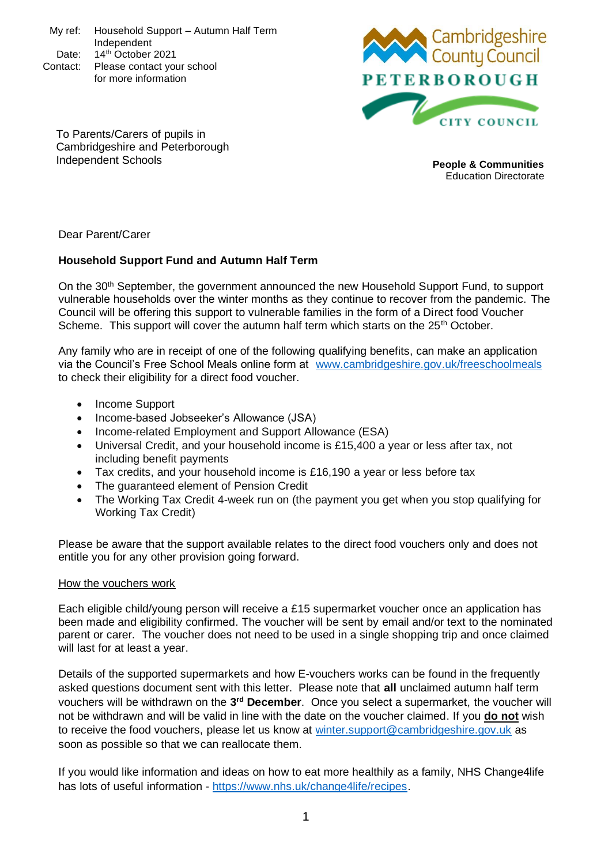My ref: Household Support – Autumn Half Term Independent Date:  $14<sup>th</sup>$  October 2021 Contact: Please contact your school for more information



To Parents/Carers of pupils in Cambridgeshire and Peterborough Independent Schools **People & Communities**

Education Directorate

Dear Parent/Carer

## **Household Support Fund and Autumn Half Term**

On the 30<sup>th</sup> September, the government announced the new Household Support Fund, to support vulnerable households over the winter months as they continue to recover from the pandemic. The Council will be offering this support to vulnerable families in the form of a Direct food Voucher Scheme. This support will cover the autumn half term which starts on the  $25<sup>th</sup>$  October.

Any family who are in receipt of one of the following qualifying benefits, can make an application via the Council's Free School Meals online form at [www.cambridgeshire.gov.uk/freeschoolmeals](http://www.cambridgeshire.gov.uk/freeschoolmeals) to check their eligibility for a direct food voucher.

- Income Support
- Income-based Jobseeker's Allowance (JSA)
- Income-related Employment and Support Allowance (ESA)
- Universal Credit, and your household income is £15,400 a year or less after tax, not including benefit payments
- Tax credits, and your household income is £16,190 a year or less before tax
- The guaranteed element of Pension Credit
- The Working Tax Credit 4-week run on (the payment you get when you stop qualifying for Working Tax Credit)

Please be aware that the support available relates to the direct food vouchers only and does not entitle you for any other provision going forward.

## How the vouchers work

Each eligible child/young person will receive a £15 supermarket voucher once an application has been made and eligibility confirmed. The voucher will be sent by email and/or text to the nominated parent or carer. The voucher does not need to be used in a single shopping trip and once claimed will last for at least a year.

Details of the supported supermarkets and how E-vouchers works can be found in the frequently asked questions document sent with this letter. Please note that **all** unclaimed autumn half term vouchers will be withdrawn on the 3<sup>rd</sup> December. Once you select a supermarket, the voucher will not be withdrawn and will be valid in line with the date on the voucher claimed. If you **do not** wish to receive the food vouchers, please let us know at [winter.support@cambridgeshire.gov.uk](mailto:winter.support@cambridgeshire.gov.uk) as soon as possible so that we can reallocate them.

If you would like information and ideas on how to eat more healthily as a family, NHS Change4life has lots of useful information - [https://www.nhs.uk/change4life/recipes.](https://www.nhs.uk/change4life/recipes)